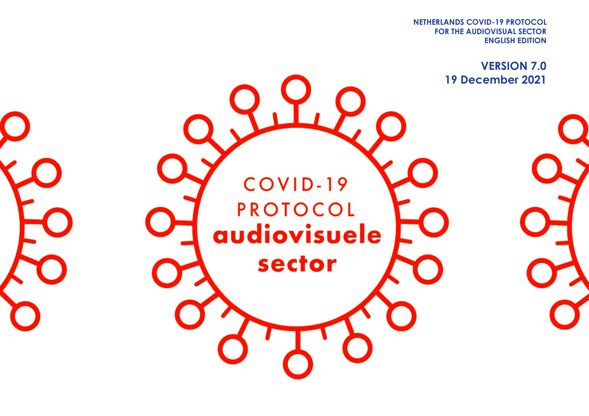**FOR THE AUDIOVISUAL SECTOR NETHERLANDS COVID-19 PROTOCOL ENGLISH EDITION**

**VERSION 7.0 19 December 2021**COVID-19 **PROTOCOL** audiovisuele sector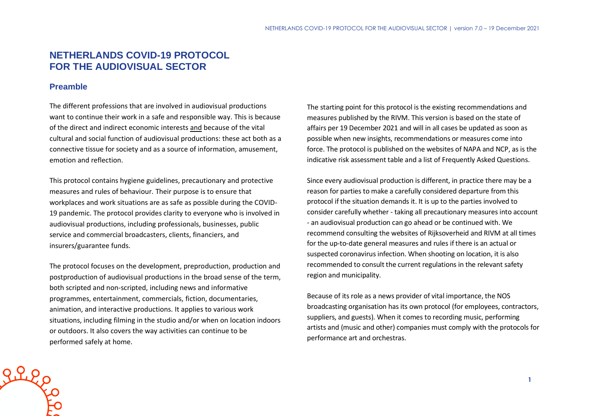# **NETHERLANDS COVID-19 PROTOCOL FOR THE AUDIOVISUAL SECTOR**

## **Preamble**

The different professions that are involved in audiovisual productions want to continue their work in a safe and responsible way. This is because of the direct and indirect economic interests and because of the vital cultural and social function of audiovisual productions: these act both as a connective tissue for society and as a source of information, amusement, emotion and reflection.

This protocol contains hygiene guidelines, precautionary and protective measures and rules of behaviour. Their purpose is to ensure that workplaces and work situations are as safe as possible during the COVID-19 pandemic. The protocol provides clarity to everyone who is involved in audiovisual productions, including professionals, businesses, public service and commercial broadcasters, clients, financiers, and insurers/guarantee funds.

The protocol focuses on the development, preproduction, production and postproduction of audiovisual productions in the broad sense of the term, both scripted and non-scripted, including news and informative programmes, entertainment, commercials, fiction, documentaries, animation, and interactive productions. It applies to various work situations, including filming in the studio and/or when on location indoors or outdoors. It also covers the way activities can continue to be performed safely at home.

The starting point for this protocol is the existing recommendations and measures published by the RIVM. This version is based on the state of affairs per 19 December 2021 and will in all cases be updated as soon as possible when new insights, recommendations or measures come into force. The protocol is published on the websites of NAPA and NCP, as is the indicative risk assessment table and a list of Frequently Asked Questions.

Since every audiovisual production is different, in practice there may be a reason for parties to make a carefully considered departure from this protocol if the situation demands it. It is up to the parties involved to consider carefully whether - taking all precautionary measures into account - an audiovisual production can go ahead or be continued with. We recommend consulting the websites of Rijksoverheid and RIVM at all times for the up-to-date general measures and rules if there is an actual or suspected coronavirus infection. When shooting on location, it is also recommended to consult the current regulations in the relevant safety region and municipality.

Because of its role as a news provider of vital importance, the NOS broadcasting organisation has its own protocol (for employees, contractors, suppliers, and guests). When it comes to recording music, performing artists and (music and other) companies must comply with the protocols for performance art and orchestras.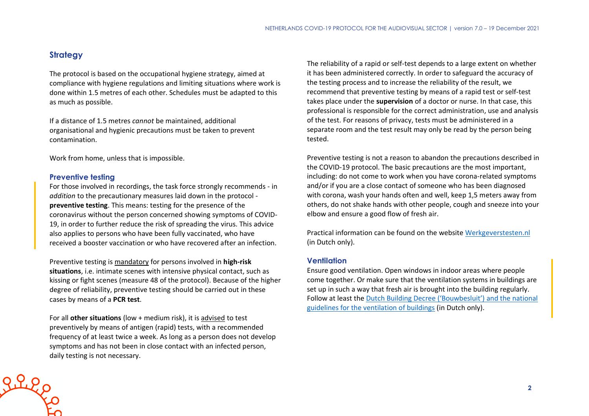## **Strategy**

The protocol is based on the occupational hygiene strategy, aimed at compliance with hygiene regulations and limiting situations where work is done within 1.5 metres of each other. Schedules must be adapted to this as much as possible.

If a distance of 1.5 metres *cannot* be maintained, additional organisational and hygienic precautions must be taken to prevent contamination.

Work from home, unless that is impossible.

#### **Preventive testing**

greep

For those involved in recordings, the task force strongly recommends - in *addition* to the precautionary measures laid down in the protocol **preventive testing**. This means: testing for the presence of the coronavirus without the person concerned showing symptoms of COVID-19, in order to further reduce the risk of spreading the virus. This advice also applies to persons who have been fully vaccinated, who have received a booster vaccination or who have recovered after an infection.

Preventive testing is mandatory for persons involved in **high-risk situations**, i.e. intimate scenes with intensive physical contact, such as kissing or fight scenes (measure 48 of the protocol). Because of the higher degree of reliability, preventive testing should be carried out in these cases by means of a **PCR test**.

For all **other situations** (low + medium risk), it is advised to test preventively by means of antigen (rapid) tests, with a recommended frequency of at least twice a week. As long as a person does not develop symptoms and has not been in close contact with an infected person, daily testing is not necessary.

The reliability of a rapid or self-test depends to a large extent on whether it has been administered correctly. In order to safeguard the accuracy of the testing process and to increase the reliability of the result, we recommend that preventive testing by means of a rapid test or self-test takes place under the **supervision** of a doctor or nurse. In that case, this professional is responsible for the correct administration, use and analysis of the test. For reasons of privacy, tests must be administered in a separate room and the test result may only be read by the person being tested.

Preventive testing is not a reason to abandon the precautions described in the COVID-19 protocol. The basic precautions are the most important, including: do not come to work when you have corona-related symptoms and/or if you are a close contact of someone who has been diagnosed with corona, wash your hands often and well, keep 1,5 meters away from others, do not shake hands with other people, cough and sneeze into your elbow and ensure a good flow of fresh air.

Practical information can be found on the website [Werkgeverstesten.nl](https://www.werkgeverstesten.nl/) (in Dutch only).

### **Ventilation**

Ensure good ventilation. Open windows in indoor areas where people come together. Or make sure that the ventilation systems in buildings are set up in such a way that fresh air is brought into the building regularly. Follow at least the [Dutch Building Decree \('Bouwbesluit'\) and the national](https://rijksoverheid.bouwbesluit.com/Inhoud/docs/wet/bb2012_nvt/artikelsgewijs/hfd3/afd3-6)  [guidelines for the ventilation of buildings](https://rijksoverheid.bouwbesluit.com/Inhoud/docs/wet/bb2012_nvt/artikelsgewijs/hfd3/afd3-6) (in Dutch only).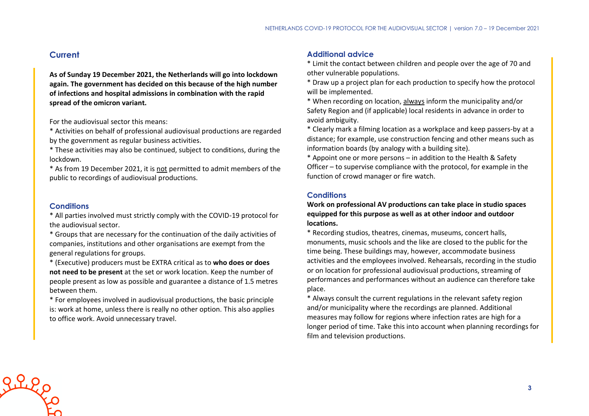## **Current**

**As of Sunday 19 December 2021, the Netherlands will go into lockdown again. The government has decided on this because of the high number of infections and hospital admissions in combination with the rapid spread of the omicron variant.**

For the audiovisual sector this means:

\* Activities on behalf of professional audiovisual productions are regarded by the government as regular business activities.

\* These activities may also be continued, subject to conditions, during the lockdown.

\* As from 19 December 2021, it is not permitted to admit members of the public to recordings of audiovisual productions.

#### **Conditions**

\* All parties involved must strictly comply with the COVID-19 protocol for the audiovisual sector.

\* Groups that are necessary for the continuation of the daily activities of companies, institutions and other organisations are exempt from the general regulations for groups.

\* (Executive) producers must be EXTRA critical as to **who does or does not need to be present** at the set or work location. Keep the number of people present as low as possible and guarantee a distance of 1.5 metres between them.

\* For employees involved in audiovisual productions, the basic principle is: work at home, unless there is really no other option. This also applies to office work. Avoid unnecessary travel.

### **Additional advice**

\* Limit the contact between children and people over the age of 70 and other vulnerable populations.

\* Draw up a project plan for each production to specify how the protocol will be implemented.

\* When recording on location, always inform the municipality and/or Safety Region and (if applicable) local residents in advance in order to avoid ambiguity.

\* Clearly mark a filming location as a workplace and keep passers-by at a distance; for example, use construction fencing and other means such as information boards (by analogy with a building site).

\* Appoint one or more persons – in addition to the Health & Safety Officer – to supervise compliance with the protocol, for example in the function of crowd manager or fire watch.

### **Conditions**

**Work on professional AV productions can take place in studio spaces equipped for this purpose as well as at other indoor and outdoor locations.**

\* Recording studios, theatres, cinemas, museums, concert halls, monuments, music schools and the like are closed to the public for the time being. These buildings may, however, accommodate business activities and the employees involved. Rehearsals, recording in the studio or on location for professional audiovisual productions, streaming of performances and performances without an audience can therefore take place.

\* Always consult the current regulations in the relevant safety region and/or municipality where the recordings are planned. Additional measures may follow for regions where infection rates are high for a longer period of time. Take this into account when planning recordings for film and television productions.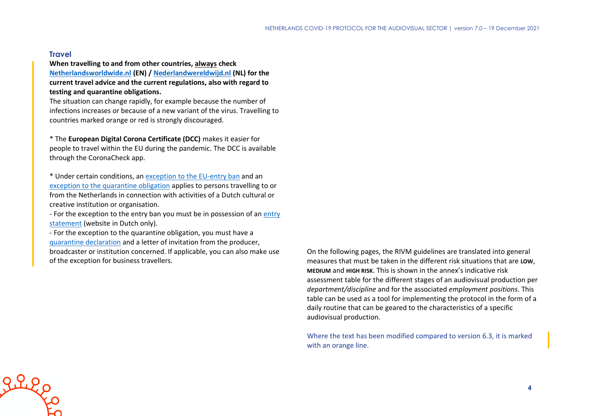#### **Travel**

**When travelling to and from other countries, always check [Netherlandsworldwide.nl](https://www.netherlandsworldwide.nl/) (EN) / [Nederlandwereldwijd.nl](https://www.nederlandwereldwijd.nl/) (NL) for the current travel advice and the current regulations, also with regard to testing and quarantine obligations.**

The situation can change rapidly, for example because the number of infections increases or because of a new variant of the virus. Travelling to countries marked orange or red is strongly discouraged.

\* The **European Digital Corona Certificate (DCC)** makes it easier for people to travel within the EU during the pandemic. The DCC is available through the CoronaCheck app.

\* Under certain conditions, an [exception to the EU-entry ban](https://www.government.nl/topics/coronavirus-covid-19/visiting-the-netherlands-from-abroad/exemptions-to-the-entry-ban/professionals-in-the-cultural-and-creative-sectors) and an [exception to the quarantine obligation](https://www.government.nl/topics/coronavirus-covid-19/visiting-the-netherlands-from-abroad/self-quarantine/exceptions-mandatory-quarantine) applies to persons travelling to or from the Netherlands in connection with activities of a Dutch cultural or creative institution or organisation.

- For the exception to the [entry](https://www.inreisverklaringcultuur.nl/) ban you must be in possession of an entry [statement](https://www.inreisverklaringcultuur.nl/) (website in Dutch only).

- For the exception to the quarantine obligation, you must have a [quarantine declaration](https://www.rijksoverheid.nl/onderwerpen/coronavirus-covid-19/documenten/publicaties/2021/05/20/quarantaineverklaring) and a letter of invitation from the producer, broadcaster or institution concerned. If applicable, you can also make use of the exception for business travellers.

On the following pages, the RIVM guidelines are translated into general measures that must be taken in the different risk situations that are **LOW**, **MEDIUM** and **HIGH RISK**. This is shown in the annex's indicative risk assessment table for the different stages of an audiovisual production per *department/discipline* and for the associated *employment positions*. This table can be used as a tool for implementing the protocol in the form of a daily routine that can be geared to the characteristics of a specific audiovisual production.

Where the text has been modified compared to version 6.3, it is marked with an orange line.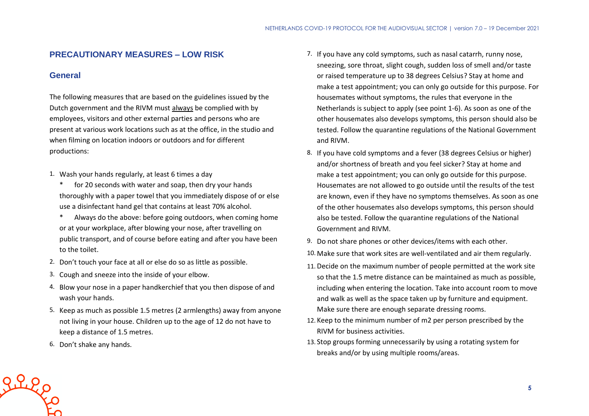## **PRECAUTIONARY MEASURES – LOW RISK**

## **General**

The following measures that are based on the guidelines issued by the Dutch government and the RIVM must always be complied with by employees, visitors and other external parties and persons who are present at various work locations such as at the office, in the studio and when filming on location indoors or outdoors and for different productions:

- 1. Wash your hands regularly, at least 6 times a day
	- \* for 20 seconds with water and soap, then dry your hands thoroughly with a paper towel that you immediately dispose of or else use a disinfectant hand gel that contains at least 70% alcohol.
	- \* Always do the above: before going outdoors, when coming home or at your workplace, after blowing your nose, after travelling on public transport, and of course before eating and after you have been to the toilet.
- 2. Don't touch your face at all or else do so as little as possible.
- 3. Cough and sneeze into the inside of your elbow.
- 4. Blow your nose in a paper handkerchief that you then dispose of and wash your hands.
- 5. Keep as much as possible 1.5 metres (2 armlengths) away from anyone not living in your house. Children up to the age of 12 do not have to keep a distance of 1.5 metres.
- 6. Don't shake any hands.

Riego

- 7. If you have any cold symptoms, such as nasal catarrh, runny nose, sneezing, sore throat, slight cough, sudden loss of smell and/or taste or raised temperature up to 38 degrees Celsius? Stay at home and make a test appointment; you can only go outside for this purpose. For housemates without symptoms, the rules that everyone in the Netherlands is subject to apply (see point 1-6). As soon as one of the other housemates also develops symptoms, this person should also be tested. Follow the quarantine regulations of the National Government and RIVM.
- 8. If you have cold symptoms and a fever (38 degrees Celsius or higher) and/or shortness of breath and you feel sicker? Stay at home and make a test appointment; you can only go outside for this purpose. Housemates are not allowed to go outside until the results of the test are known, even if they have no symptoms themselves. As soon as one of the other housemates also develops symptoms, this person should also be tested. Follow the quarantine regulations of the National Government and RIVM.
- 9. Do not share phones or other devices/items with each other.
- 10. Make sure that work sites are well-ventilated and air them regularly.
- 11. Decide on the maximum number of people permitted at the work site so that the 1.5 metre distance can be maintained as much as possible, including when entering the location. Take into account room to move and walk as well as the space taken up by furniture and equipment. Make sure there are enough separate dressing rooms.
- 12. Keep to the minimum number of m2 per person prescribed by the RIVM for business activities.
- 13. Stop groups forming unnecessarily by using a rotating system for breaks and/or by using multiple rooms/areas.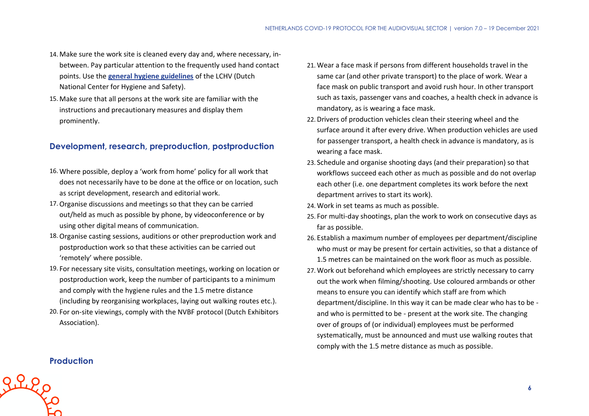- 14. Make sure the work site is cleaned every day and, where necessary, inbetween. Pay particular attention to the frequently used hand contact points. Use the **[general hygiene guidelines](https://www.rivm.nl/hygienerichtlijnen/algemeen)** of the LCHV (Dutch National Center for Hygiene and Safety).
- 15. Make sure that all persons at the work site are familiar with the instructions and precautionary measures and display them prominently.

## **Development, research, preproduction, postproduction**

- 16. Where possible, deploy a 'work from home' policy for all work that does not necessarily have to be done at the office or on location, such as script development, research and editorial work.
- 17.Organise discussions and meetings so that they can be carried out/held as much as possible by phone, by videoconference or by using other digital means of communication.
- 18.Organise casting sessions, auditions or other preproduction work and postproduction work so that these activities can be carried out 'remotely' where possible.
- 19. For necessary site visits, consultation meetings, working on location or postproduction work, keep the number of participants to a minimum and comply with the hygiene rules and the 1.5 metre distance (including by reorganising workplaces, laying out walking routes etc.).
- 20. For on-site viewings, comply with the NVBF protocol (Dutch Exhibitors Association).
- 21. Wear a face mask if persons from different households travel in the same car (and other private transport) to the place of work. Wear a face mask on public transport and avoid rush hour. In other transport such as taxis, passenger vans and coaches, a health check in advance is mandatory, as is wearing a face mask.
- 22. Drivers of production vehicles clean their steering wheel and the surface around it after every drive. When production vehicles are used for passenger transport, a health check in advance is mandatory, as is wearing a face mask.
- 23. Schedule and organise shooting days (and their preparation) so that workflows succeed each other as much as possible and do not overlap each other (i.e. one department completes its work before the next department arrives to start its work).
- 24. Work in set teams as much as possible.
- 25. For multi-day shootings, plan the work to work on consecutive days as far as possible.
- 26. Establish a maximum number of employees per department/discipline who must or may be present for certain activities, so that a distance of 1.5 metres can be maintained on the work floor as much as possible.
- 27. Work out beforehand which employees are strictly necessary to carry out the work when filming/shooting. Use coloured armbands or other means to ensure you can identify which staff are from which department/discipline. In this way it can be made clear who has to be and who is permitted to be - present at the work site. The changing over of groups of (or individual) employees must be performed systematically, must be announced and must use walking routes that comply with the 1.5 metre distance as much as possible.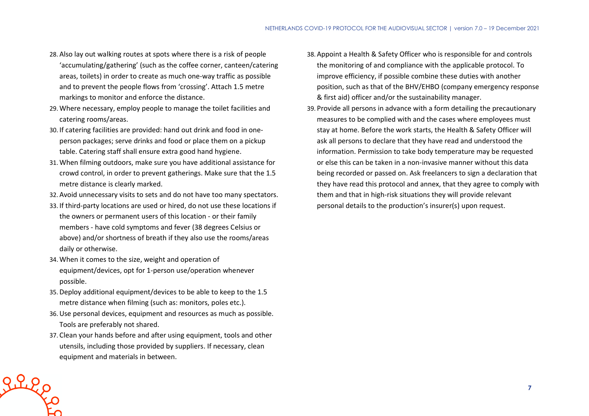- 28. Also lay out walking routes at spots where there is a risk of people 'accumulating/gathering' (such as the coffee corner, canteen/catering areas, toilets) in order to create as much one-way traffic as possible and to prevent the people flows from 'crossing'. Attach 1.5 metre markings to monitor and enforce the distance.
- 29. Where necessary, employ people to manage the toilet facilities and catering rooms/areas.
- 30. If catering facilities are provided: hand out drink and food in oneperson packages; serve drinks and food or place them on a pickup table. Catering staff shall ensure extra good hand hygiene.
- 31. When filming outdoors, make sure you have additional assistance for crowd control, in order to prevent gatherings. Make sure that the 1.5 metre distance is clearly marked.
- 32. Avoid unnecessary visits to sets and do not have too many spectators.
- 33. If third-party locations are used or hired, do not use these locations if the owners or permanent users of this location - or their family members - have cold symptoms and fever (38 degrees Celsius or above) and/or shortness of breath if they also use the rooms/areas daily or otherwise.
- 34. When it comes to the size, weight and operation of equipment/devices, opt for 1-person use/operation whenever possible.
- 35. Deploy additional equipment/devices to be able to keep to the 1.5 metre distance when filming (such as: monitors, poles etc.).
- 36.Use personal devices, equipment and resources as much as possible. Tools are preferably not shared.
- 37. Clean your hands before and after using equipment, tools and other utensils, including those provided by suppliers. If necessary, clean equipment and materials in between.

Riles

- 38. Appoint a Health & Safety Officer who is responsible for and controls the monitoring of and compliance with the applicable protocol. To improve efficiency, if possible combine these duties with another position, such as that of the BHV/EHBO (company emergency response & first aid) officer and/or the sustainability manager.
- 39. Provide all persons in advance with a form detailing the precautionary measures to be complied with and the cases where employees must stay at home. Before the work starts, the Health & Safety Officer will ask all persons to declare that they have read and understood the information. Permission to take body temperature may be requested or else this can be taken in a non-invasive manner without this data being recorded or passed on. Ask freelancers to sign a declaration that they have read this protocol and annex, that they agree to comply with them and that in high-risk situations they will provide relevant personal details to the production's insurer(s) upon request.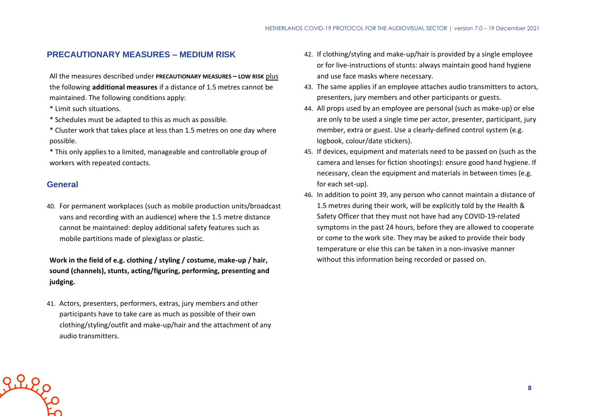## **PRECAUTIONARY MEASURES – MEDIUM RISK**

All the measures described under **PRECAUTIONARY MEASURES – LOW RISK** plus the following **additional measures** if a distance of 1.5 metres cannot be maintained. The following conditions apply:

- \* Limit such situations.
- \* Schedules must be adapted to this as much as possible.
- \* Cluster work that takes place at less than 1.5 metres on one day where possible.
- \* This only applies to a limited, manageable and controllable group of workers with repeated contacts.

### **General**

40. For permanent workplaces (such as mobile production units/broadcast vans and recording with an audience) where the 1.5 metre distance cannot be maintained: deploy additional safety features such as mobile partitions made of plexiglass or plastic.

**Work in the field of e.g. clothing / styling / costume, make-up / hair, sound (channels), stunts, acting/figuring, performing, presenting and judging.**

41. Actors, presenters, performers, extras, jury members and other participants have to take care as much as possible of their own clothing/styling/outfit and make-up/hair and the attachment of any audio transmitters.

- 42. If clothing/styling and make-up/hair is provided by a single employee or for live-instructions of stunts: always maintain good hand hygiene and use face masks where necessary.
- 43. The same applies if an employee attaches audio transmitters to actors, presenters, jury members and other participants or guests.
- 44. All props used by an employee are personal (such as make-up) or else are only to be used a single time per actor, presenter, participant, jury member, extra or guest. Use a clearly-defined control system (e.g. logbook, colour/date stickers).
- 45. If devices, equipment and materials need to be passed on (such as the camera and lenses for fiction shootings): ensure good hand hygiene. If necessary, clean the equipment and materials in between times (e.g. for each set-up).
- 46. In addition to point 39, any person who cannot maintain a distance of 1.5 metres during their work, will be explicitly told by the Health & Safety Officer that they must not have had any COVID-19-related symptoms in the past 24 hours, before they are allowed to cooperate or come to the work site. They may be asked to provide their body temperature or else this can be taken in a non-invasive manner without this information being recorded or passed on.